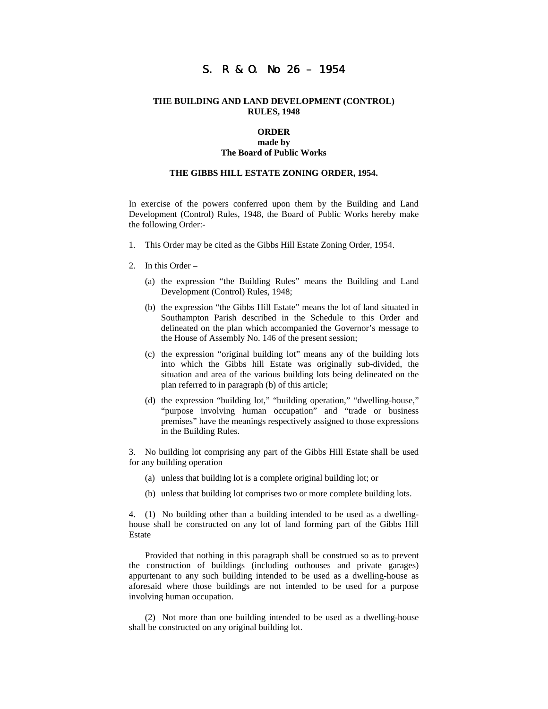# S. R & O. No 26 – 1954

#### **THE BUILDING AND LAND DEVELOPMENT (CONTROL) RULES, 1948**

#### **ORDER made by**

#### **The Board of Public Works**

# **THE GIBBS HILL ESTATE ZONING ORDER, 1954.**

In exercise of the powers conferred upon them by the Building and Land Development (Control) Rules, 1948, the Board of Public Works hereby make the following Order:-

- 1. This Order may be cited as the Gibbs Hill Estate Zoning Order, 1954.
- 2. In this Order
	- (a) the expression "the Building Rules" means the Building and Land Development (Control) Rules, 1948;
	- (b) the expression "the Gibbs Hill Estate" means the lot of land situated in Southampton Parish described in the Schedule to this Order and delineated on the plan which accompanied the Governor's message to the House of Assembly No. 146 of the present session;
	- (c) the expression "original building lot" means any of the building lots into which the Gibbs hill Estate was originally sub-divided, the situation and area of the various building lots being delineated on the plan referred to in paragraph (b) of this article;
	- (d) the expression "building lot," "building operation," "dwelling-house," "purpose involving human occupation" and "trade or business premises" have the meanings respectively assigned to those expressions in the Building Rules.

3. No building lot comprising any part of the Gibbs Hill Estate shall be used for any building operation –

- (a) unless that building lot is a complete original building lot; or
- (b) unless that building lot comprises two or more complete building lots.

4. (1) No building other than a building intended to be used as a dwellinghouse shall be constructed on any lot of land forming part of the Gibbs Hill Estate

Provided that nothing in this paragraph shall be construed so as to prevent the construction of buildings (including outhouses and private garages) appurtenant to any such building intended to be used as a dwelling-house as aforesaid where those buildings are not intended to be used for a purpose involving human occupation.

(2) Not more than one building intended to be used as a dwelling-house shall be constructed on any original building lot.